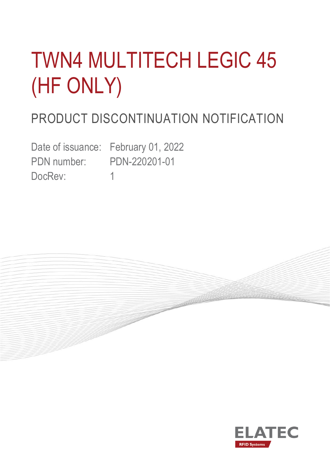# TWN4 MULTITECH LEGIC 45 (HF ONLY)

# PRODUCT DISCONTINUATION NOTIFICATION

Date of issuance: February 01, 2022 PDN number: PDN-220201-01 DocRev: 1



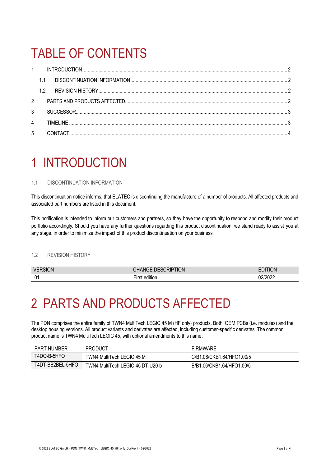## TABLE OF CONTENTS

|             | $1 \quad \blacksquare$ |           |  |
|-------------|------------------------|-----------|--|
|             | 1.1                    |           |  |
|             | 1.2                    |           |  |
| $2^{\circ}$ |                        |           |  |
| 3           |                        |           |  |
| 4           |                        | TIMFI INF |  |
| 5           |                        |           |  |

### <span id="page-1-0"></span>1 INTRODUCTION

### <span id="page-1-1"></span>1.1 DISCONTINUATION INFORMATION

This discontinuation notice informs, that ELATEC is discontinuing the manufacture of a number of products. All affected products and associated part numbers are listed in this document.

This notification is intended to inform our customers and partners, so they have the opportunity to respond and modify their product portfolio accordingly. Should you have any further questions regarding this product discontinuation, we stand ready to assist you at any stage, in order to minimize the impact of this product discontinuation on your business.

### <span id="page-1-2"></span>1.2 REVISION HISTORY

| <b>VERSION</b> | <b>IANGE DESCRIPTION</b><br>HANGE. | tion    |
|----------------|------------------------------------|---------|
| 01             | $\cdots$<br>∙ırst<br>edition       | 02/2022 |

### <span id="page-1-3"></span>2 PARTS AND PRODUCTS AFFECTED

The PDN comprises the entire family of TWN4 MultiTech LEGIC 45 M (HF only) products. Both, OEM PCBs (i.e. modules) and the desktop housing versions. All product variants and derivates are affected, including customer-specific derivates. The common product name is TWN4 MultiTech LEGIC 45, with optional amendments to this name.

| PART NUMBER      | PRODUCT                          | <b>FIRMWARE</b>           |
|------------------|----------------------------------|---------------------------|
| T4DO-B-5HFO      | TWN4 MultiTech LEGIC 45 M        | C/B1.06/CKB1.64/HFO1.00/5 |
| T4DT-BB2BEL-5HFO | TWN4 MultiTech LEGIC 45 DT-U20-b | B/B1.06/CKB1.64/HFO1.00/5 |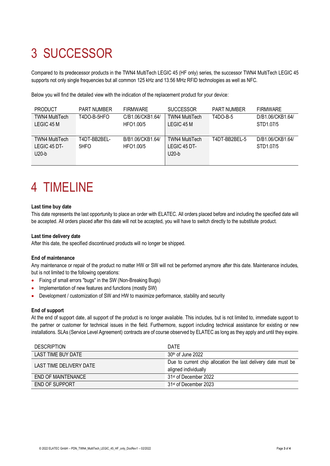# <span id="page-2-0"></span>3 SUCCESSOR

Compared to its predecessor products in the TWN4 MultiTech LEGIC 45 (HF only) series, the successor TWN4 MultiTech LEGIC 45 supports not only single frequencies but all common 125 kHz and 13.56 MHz RFID technologies as well as NFC.

Below you will find the detailed view with the indication of the replacement product for your device:

| <b>PRODUCT</b>        | <b>PART NUMBER</b> | <b>FIRMWARE</b>  | <b>SUCCESSOR</b>      | <b>PART NUMBER</b> | <b>FIRMWARE</b>  |
|-----------------------|--------------------|------------------|-----------------------|--------------------|------------------|
| <b>TWN4 MultiTech</b> | T4DO-B-5HFO        | C/B1.06/CKB1.64/ | <b>TWN4 MultiTech</b> | T4DO-B-5           | D/B1.06/CKB1.64/ |
| LEGIC 45 M            |                    | HFO1.00/5        | LEGIC 45 M            |                    | STD1.07/5        |
|                       |                    |                  |                       |                    |                  |
| <b>TWN4 MultiTech</b> | T4DT-BB2BEL-       | B/B1.06/CKB1.64/ | <b>TWN4 MultiTech</b> | T4DT-BB2BEL-5      | D/B1.06/CKB1.64/ |
| LEGIC 45 DT-          | 5HFO               | HFO1.00/5        | LEGIC 45 DT-          |                    | STD1.07/5        |
| $U20-b$               |                    |                  | U20-b                 |                    |                  |
|                       |                    |                  |                       |                    |                  |

### <span id="page-2-1"></span>4 TIMELINE

### **Last time buy date**

This date represents the last opportunity to place an order with ELATEC. All orders placed before and including the specified date will be accepted. All orders placed after this date will not be accepted, you will have to switch directly to the substitute product.

### **Last time delivery date**

After this date, the specified discontinued products will no longer be shipped.

### **End of maintenance**

Any maintenance or repair of the product no matter HW or SW will not be performed anymore after this date. Maintenance includes, but is not limited to the following operations:

- Fixing of small errors "bugs" in the SW (Non-Breaking Bugs)
- Implementation of new features and functions (mostly SW)
- Development / customization of SW and HW to maximize performance, stability and security

#### **End of support**

At the end of support date, all support of the product is no longer available. This includes, but is not limited to, immediate support to the partner or customer for technical issues in the field. Furthermore, support including technical assistance for existing or new installations. SLAs (Service Level Agreement) contracts are of course observed by ELATEC as long as they apply and until they expire.

| <b>DESCRIPTION</b>      | DATE                                                          |  |
|-------------------------|---------------------------------------------------------------|--|
| LAST TIME BUY DATE      | 30 <sup>th</sup> of June 2022                                 |  |
| LAST TIME DELIVERY DATE | Due to current chip allocation the last delivery date must be |  |
|                         | aligned individually                                          |  |
| END OF MAINTENANCE      | 31 <sup>st</sup> of December 2022                             |  |
| <b>END OF SUPPORT</b>   | 31 <sup>st</sup> of December 2023                             |  |